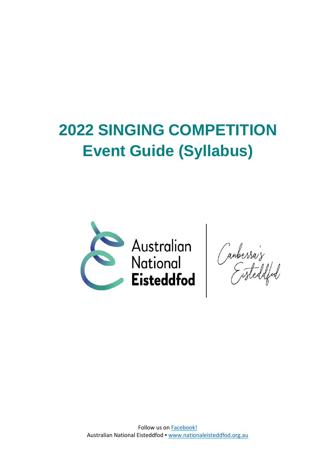# **2022 SINGING COMPETITION Event Guide (Syllabus)**



Follow us on **Facebook!** Australian National Eisteddfod ▪ [www.nationaleisteddfod.org.au](http://www.nationaleisteddfod.org.au/)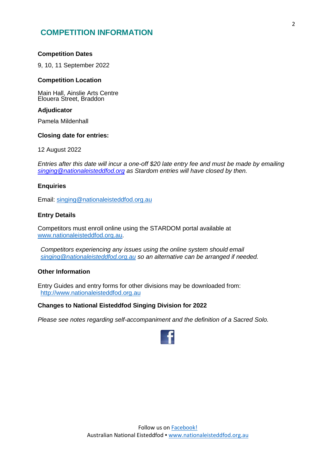# **COMPETITION INFORMATION**

#### **Competition Dates**

9, 10, 11 September 2022

## **Competition Location**

Main Hall, Ainslie Arts Centre Elouera Street, Braddon

## **Adjudicator**

Pamela Mildenhall

#### **Closing date for entries:**

12 August 2022

*Entries after this date will incur a one-off \$20 late entry fee and must be made by emailing [singing@nationaleisteddfod.org](mailto:singing@nationaleisteddfod.org) as Stardom entries will have closed by then.*

#### **Enquiries**

Email: [singing@nationaleisteddfod.org.au](mailto:singing@nationaleisteddfod.org.au)

#### **Entry Details**

Competitors must enroll online using the STARDOM portal available at [www.nationaleisteddfod.org.au.](http://www.nationaleisteddfod.org.au/)

*Competitors experiencing any issues using the online system should email [singing@nationaleisteddfod.org.au](mailto:singing@nationaleisteddfod.org.au) so an alternative can be arranged if needed.*

## **Other Information**

Entry Guides and entry forms for other divisions may be downloaded from: [http://www.nationaleisteddfod.org.au](http://www.nationaleisteddfod.org.au/)

## **Changes to National Eisteddfod Singing Division for 2022**

*Please see notes regarding self-accompaniment and the definition of a Sacred Solo.*

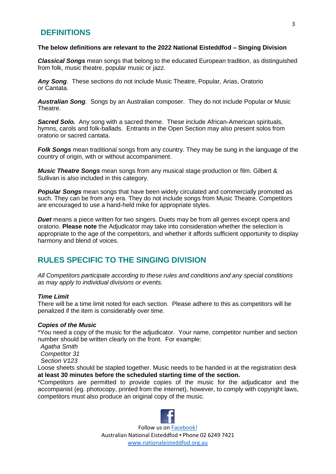# **DEFINITIONS**

#### **The below definitions are relevant to the 2022 National Eisteddfod – Singing Division**

*Classical Songs* mean songs that belong to the educated European tradition, as distinguished from folk, music theatre, popular music or jazz.

*Any Song*. These sections do not include Music Theatre, Popular, Arias, Oratorio or Cantata.

*Australian Song*. Songs by an Australian composer. They do not include Popular or Music Theatre.

*Sacred Solo.* Any song with a sacred theme. These include African-American spirituals, hymns, carols and folk-ballads. Entrants in the Open Section may also present solos from oratorio or sacred cantata.

*Folk Songs* mean traditional songs from any country. They may be sung in the language of the country of origin, with or without accompaniment.

*Music Theatre Songs* mean songs from any musical stage production or film. Gilbert & Sullivan is also included in this category.

*Popular Songs* mean songs that have been widely circulated and commercially promoted as such. They can be from any era. They do not include songs from Music Theatre. Competitors are encouraged to use a hand-held mike for appropriate styles.

**Duet** means a piece written for two singers. Duets may be from all genres except opera and oratorio. **Please note** the Adjudicator may take into consideration whether the selection is appropriate to the age of the competitors, and whether it affords sufficient opportunity to display harmony and blend of voices.

# **RULES SPECIFIC TO THE SINGING DIVISION**

*All Competitors participate according to these rules and conditions and any special conditions as may apply to individual divisions or events.*

#### *Time Limit*

There will be a time limit noted for each section. Please adhere to this as competitors will be penalized if the item is considerably over time.

## *Copies of the Music*

\*You need a copy of the music for the adjudicator. Your name, competitor number and section number should be written clearly on the front. For example:

*Agatha Smith Competitor 31 Section V123*

Loose sheets should be stapled together. Music needs to be handed in at the registration desk **at least 30 minutes before the scheduled starting time of the section.**

\*Competitors are permitted to provide copies of the music for the adjudicator and the accompanist (eg. photocopy, printed from the internet), however, to comply with copyright laws, competitors must also produce an original copy of the music.

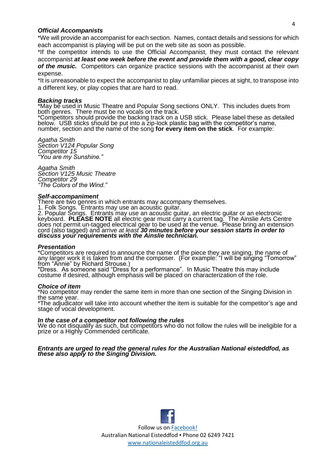#### *Official Accompanists*

\*We will provide an accompanist for each section. Names, contact details and sessions for which each accompanist is playing will be put on the web site as soon as possible.

\*If the competitor intends to use the Official Accompanist, they must contact the relevant accompanist *at least one week before the event and provide them with a good, clear copy of the music.* Competitors can organize practice sessions with the accompanist at their own expense.

\*It is unreasonable to expect the accompanist to play unfamiliar pieces at sight, to transpose into a different key, or play copies that are hard to read.

#### *Backing tracks*

\*May be used in Music Theatre and Popular Song sections ONLY. This includes duets from both genres. There must be no vocals on the track.

\*Competitors should provide the backing track on a USB stick. Please label these as detailed below. USB sticks should be put into a zip-lock plastic bag with the competitor's name, number, section and the name of the song **for every item on the stick**. For example:

*Agatha Smith Section V124 Popular Song Competitor 15 "You are my Sunshine."*

*Agatha Smith Section V125 Music Theatre Competitor 29 "The Colors of the Wind."*

#### *Self-accompaniment*

There are two genres in which entrants may accompany themselves.

1. Folk Songs. Entrants may use an acoustic guitar.

2. Popular Songs. Entrants may use an acoustic guitar, an electric guitar or an electronic keyboard. **PLEASE NOTE** all electric gear must carry a current tag. The Ainslie Arts Centre does not permit un-tagged electrical gear to be used at the venue. Please bring an extension cord (also tagged) and arrive *at least 30 minutes before your session starts in order to discuss your requirements with the Ainslie technician.*

#### *Presentation*

\*Competitors are required to announce the name of the piece they are singing, the name of any larger work it is taken from and the composer. (For example: "I will be singing "Tomorrow" from "Annie" by Richard Strouse.)

\*Dress. As someone said "Dress for a performance". In Music Theatre this may include costume if desired, although emphasis will be placed on characterization of the role.

#### *Choice of item*

\*No competitor may render the same item in more than one section of the Singing Division in the same year.

\*The adjudicator will take into account whether the item is suitable for the competitor's age and stage of vocal development.

#### *In the case of a competitor not following the rules*

We do not disqualify as such, but competitors who do not follow the rules will be ineligible for a prize or a Highly Commended certificate.

#### *Entrants are urged to read the general rules for the Australian National eisteddfod, as these also apply to the Singing Division.*

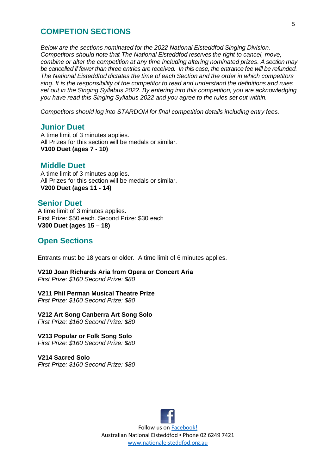## **COMPETION SECTIONS**

*Below are the sections nominated for the 2022 National Eisteddfod Singing Division. Competitors should note that The National Eisteddfod reserves the right to cancel, move, combine or alter the competition at any time including altering nominated prizes. A section may be cancelled if fewer than three entries are received. In this case, the entrance fee will be refunded. The National Eisteddfod dictates the time of each Section and the order in which competitors sing. It is the responsibility of the competitor to read and understand the definitions and rules set out in the Singing Syllabus 2022. By entering into this competition, you are acknowledging you have read this Singing Syllabus 2022 and you agree to the rules set out within.*

*Competitors should log into STARDOM for final competition details including entry fees.*

## **Junior Duet**

A time limit of 3 minutes applies. All Prizes for this section will be medals or similar. **V100 Duet (ages 7 - 10)**

## **Middle Duet**

A time limit of 3 minutes applies. All Prizes for this section will be medals or similar. **V200 Duet (ages 11 - 14)**

## **Senior Duet**

A time limit of 3 minutes applies. First Prize: \$50 each. Second Prize: \$30 each **V300 Duet (ages 15 – 18)**

## **Open Sections**

Entrants must be 18 years or older. A time limit of 6 minutes applies.

**V210 Joan Richards Aria from Opera or Concert Aria**  *First Prize: \$160 Second Prize: \$80*

**V211 Phil Perman Musical Theatre Prize** *First Prize: \$160 Second Prize: \$80*

**V212 Art Song Canberra Art Song Solo** *First Prize: \$160 Second Prize: \$80*

**V213 Popular or Folk Song Solo** *First Prize: \$160 Second Prize: \$80*

**V214 Sacred Solo** *First Prize: \$160 Second Prize: \$80*

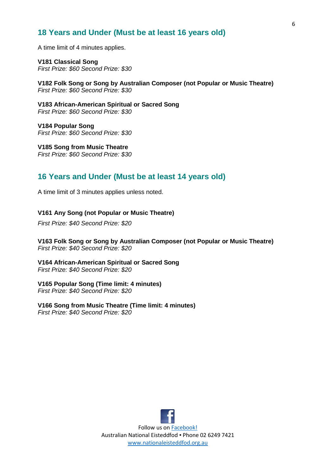# **18 Years and Under (Must be at least 16 years old)**

A time limit of 4 minutes applies.

**V181 Classical Song** *First Prize: \$60 Second Prize: \$30*

**V182 Folk Song or Song by Australian Composer (not Popular or Music Theatre)** *First Prize: \$60 Second Prize: \$30*

**V183 African-American Spiritual or Sacred Song** *First Prize: \$60 Second Prize: \$30*

**V184 Popular Song** *First Prize: \$60 Second Prize: \$30*

**V185 Song from Music Theatre** *First Prize: \$60 Second Prize: \$30*

# **16 Years and Under (Must be at least 14 years old)**

A time limit of 3 minutes applies unless noted.

#### **V161 Any Song (not Popular or Music Theatre)**

*First Prize: \$40 Second Prize: \$20*

**V163 Folk Song or Song by Australian Composer (not Popular or Music Theatre)** *First Prize: \$40 Second Prize: \$20*

**V164 African-American Spiritual or Sacred Song** *First Prize: \$40 Second Prize: \$20*

#### **V165 Popular Song (Time limit: 4 minutes)**

*First Prize: \$40 Second Prize: \$20*

#### **V166 Song from Music Theatre (Time limit: 4 minutes)**

*First Prize: \$40 Second Prize: \$20*

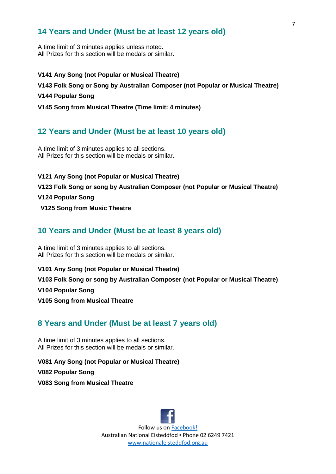# **14 Years and Under (Must be at least 12 years old)**

A time limit of 3 minutes applies unless noted. All Prizes for this section will be medals or similar.

**V141 Any Song (not Popular or Musical Theatre) V143 Folk Song or Song by Australian Composer (not Popular or Musical Theatre) V144 Popular Song V145 Song from Musical Theatre (Time limit: 4 minutes)**

# **12 Years and Under (Must be at least 10 years old)**

A time limit of 3 minutes applies to all sections. All Prizes for this section will be medals or similar.

## **V121 Any Song (not Popular or Musical Theatre)**

**V123 Folk Song or song by Australian Composer (not Popular or Musical Theatre)**

## **V124 Popular Song**

**V125 Song from Music Theatre**

# **10 Years and Under (Must be at least 8 years old)**

A time limit of 3 minutes applies to all sections. All Prizes for this section will be medals or similar.

**V101 Any Song (not Popular or Musical Theatre)** 

**V103 Folk Song or song by Australian Composer (not Popular or Musical Theatre)** 

**V104 Popular Song**

**V105 Song from Musical Theatre**

# **8 Years and Under (Must be at least 7 years old)**

A time limit of 3 minutes applies to all sections. All Prizes for this section will be medals or similar.

**V081 Any Song (not Popular or Musical Theatre)** 

**V082 Popular Song**

**V083 Song from Musical Theatre**

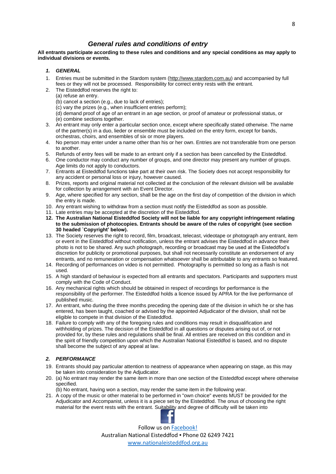## *General rules and conditions of entry*

**All entrants participate according to these rules and conditions and any special conditions as may apply to individual divisions or events.**

- *1. GENERAL*
- 1. Entries must be submitted in the Stardom system [\(http://www.stardom.com.au\)](http://www.stardom.com.au/) and accompanied by full fees or they will not be processed. Responsibility for correct entry rests with the entrant.
- 2. The Eisteddfod reserves the right to:
	- (a) refuse an entry.
	- (b) cancel a section (e.g., due to lack of entries);
	- (c) vary the prizes (e.g., when insufficient entries perform);
	- (d) demand proof of age of an entrant in an age section, or proof of amateur or professional status, or (e) combine sections together.
- 3. An entrant may only enter a particular section once, except where specifically stated otherwise. The name of the partner(s) in a duo, lieder or ensemble must be included on the entry form, except for bands, orchestras, choirs, and ensembles of six or more players.
- 4. No person may enter under a name other than his or her own. Entries are not transferable from one person to another.
- 5. Refunds of entry fees will be made to an entrant only if a section has been cancelled by the Eisteddfod.
- 6. One conductor may conduct any number of groups, and one director may present any number of groups. Age limits do not apply to conductors.
- 7. Entrants at Eisteddfod functions take part at their own risk. The Society does not accept responsibility for any accident or personal loss or injury, however caused.
- 8. Prizes, reports and original material not collected at the conclusion of the relevant division will be available for collection by arrangement with an Event Director.
- 9. Age, where specified for any section, shall be the age on the first day of competition of the division in which the entry is made.
- 10. Any entrant wishing to withdraw from a section must notify the Eisteddfod as soon as possible.
- 11. Late entries may be accepted at the discretion of the Eisteddfod.
- **12. The Australian National Eisteddfod Society will not be liable for any copyright infringement relating to the submission of photocopies. Entrants should be aware of the rules of copyright (see section 30 headed `Copyright' below).**
- 13. The Society reserves the right to record, film, broadcast, telecast, videotape or photograph any entrant, item or event in the Eisteddfod without notification, unless the entrant advises the Eisteddfod in advance their photo is not to be shared. Any such photograph, recording or broadcast may be used at the Eisteddfod's discretion for publicity or promotional purposes, but shall not necessarily constitute an endorsement of any entrants, and no remuneration or compensation whatsoever shall be attributable to any entrants so featured.
- 14. Recording of performances on video is not permitted. Photography is permitted so long as a flash is not used.
- 15. A high standard of behaviour is expected from all entrants and spectators. Participants and supporters must comply with the Code of Conduct.
- 16. Any mechanical rights which should be obtained in respect of recordings for performance is the responsibility of the performer. The Eisteddfod holds a licence issued by APRA for the live performance of published music.
- 17. An entrant, who during the three months preceding the opening date of the division in which he or she has entered, has been taught, coached or advised by the appointed Adjudicator of the division, shall not be eligible to compete in that division of the Eisteddfod.
- 18. Failure to comply with any of the foregoing rules and conditions may result in disqualification and withholding of prizes. The decision of the Eisteddfod in all questions or disputes arising out of, or not provided for, by these rules and regulations shall be final. All entries are received on this condition and in the spirit of friendly competition upon which the Australian National Eisteddfod is based, and no dispute shall become the subject of any appeal at law.

#### *2. PERFORMANCE*

- 19. Entrants should pay particular attention to neatness of appearance when appearing on stage, as this may be taken into consideration by the Adjudicator.
- 20. (a) No entrant may render the same item in more than one section of the Eisteddfod except where otherwise specified.
	- (b) No entrant, having won a section, may render the same item in the following year.
- 21. A copy of the music or other material to be performed in "own choice" events MUST be provided for the Adjudicator and Accompanist, unless it is a piece set by the Eisteddfod. The onus of choosing the right material for the event rests with the entrant. Suitability and degree of difficulty will be taken into

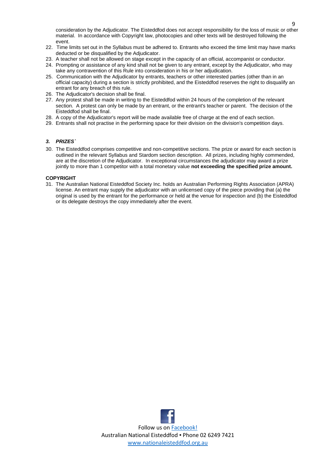consideration by the Adjudicator. The Eisteddfod does not accept responsibility for the loss of music or other material. In accordance with Copyright law, photocopies and other texts will be destroyed following the event.

- 22. Time limits set out in the Syllabus must be adhered to. Entrants who exceed the time limit may have marks deducted or be disqualified by the Adjudicator.
- 23. A teacher shall not be allowed on stage except in the capacity of an official, accompanist or conductor.
- 24. Prompting or assistance of any kind shall not be given to any entrant, except by the Adjudicator, who may take any contravention of this Rule into consideration in his or her adjudication.
- 25. Communication with the Adjudicator by entrants, teachers or other interested parties (other than in an official capacity) during a section is strictly prohibited, and the Eisteddfod reserves the right to disqualify an entrant for any breach of this rule.
- 26. The Adjudicator's decision shall be final.
- 27. Any protest shall be made in writing to the Eisteddfod within 24 hours of the completion of the relevant section.A protest can only be made by an entrant, or the entrant's teacher or parent. The decision of the Eisteddfod shall be final.
- 28. A copy of the Adjudicator's report will be made available free of charge at the end of each section.
- 29. Entrants shall not practise in the performing space for their division on the division's competition days.

#### *3. PRIZES`*

30. The Eisteddfod comprises competitive and non-competitive sections. The prize or award for each section is outlined in the relevant Syllabus and Stardom section description. All prizes, including highly commended, are at the discretion of the Adjudicator. In exceptional circumstances the adjudicator may award a prize jointly to more than 1 competitor with a total monetary value **not exceeding the specified prize amount.**

#### **COPYRIGHT**

31. The Australian National Eisteddfod Society Inc. holds an Australian Performing Rights Association (APRA) license. An entrant may supply the adjudicator with an unlicensed copy of the piece providing that (a) the original is used by the entrant for the performance or held at the venue for inspection and (b) the Eisteddfod or its delegate destroys the copy immediately after the event.